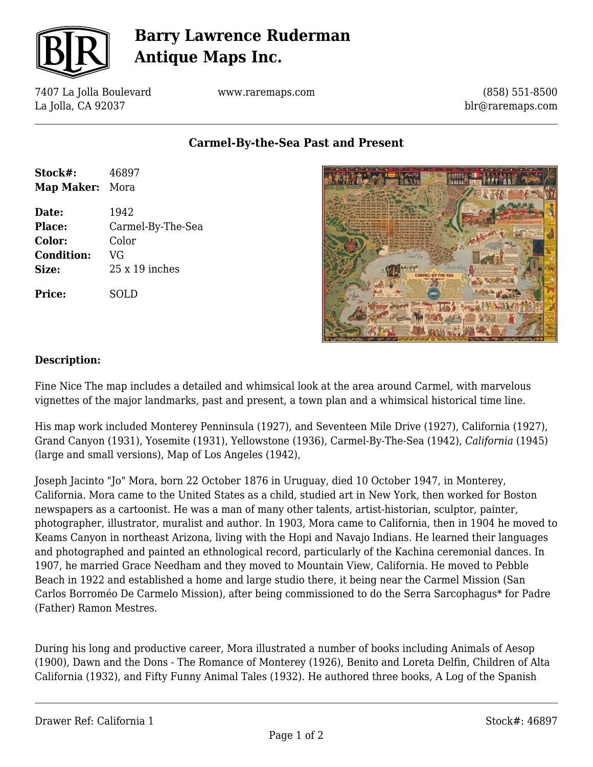

# **Barry Lawrence Ruderman Antique Maps Inc.**

7407 La Jolla Boulevard La Jolla, CA 92037

www.raremaps.com

(858) 551-8500 blr@raremaps.com

**Carmel-By-the-Sea Past and Present**

| Stock#:           | 46897             |
|-------------------|-------------------|
| Map Maker: Mora   |                   |
| Date:             | 1942              |
| <b>Place:</b>     | Carmel-By-The-Sea |
| Color:            | Color             |
| <b>Condition:</b> | VG                |
| Size:             | 25 x 19 inches    |
| <b>Price:</b>     | SOLD              |



#### **Description:**

Fine Nice The map includes a detailed and whimsical look at the area around Carmel, with marvelous vignettes of the major landmarks, past and present, a town plan and a whimsical historical time line.

His map work included Monterey Penninsula (1927), and Seventeen Mile Drive (1927), California (1927), Grand Canyon (1931), Yosemite (1931), Yellowstone (1936), Carmel-By-The-Sea (1942), *California* (1945) (large and small versions), Map of Los Angeles (1942),

Joseph Jacinto "Jo" Mora, born 22 October 1876 in Uruguay, died 10 October 1947, in Monterey, California. Mora came to the United States as a child, studied art in New York, then worked for Boston newspapers as a cartoonist. He was a man of many other talents, artist-historian, sculptor, painter, photographer, illustrator, muralist and author. In 1903, Mora came to California, then in 1904 he moved to Keams Canyon in northeast Arizona, living with the Hopi and Navajo Indians. He learned their languages and photographed and painted an ethnological record, particularly of the Kachina ceremonial dances. In 1907, he married Grace Needham and they moved to Mountain View, California. He moved to Pebble Beach in 1922 and established a home and large studio there, it being near the Carmel Mission (San Carlos Borroméo De Carmelo Mission), after being commissioned to do the Serra Sarcophagus\* for Padre (Father) Ramon Mestres.

During his long and productive career, Mora illustrated a number of books including Animals of Aesop (1900), Dawn and the Dons - The Romance of Monterey (1926), Benito and Loreta Delfin, Children of Alta California (1932), and Fifty Funny Animal Tales (1932). He authored three books, A Log of the Spanish